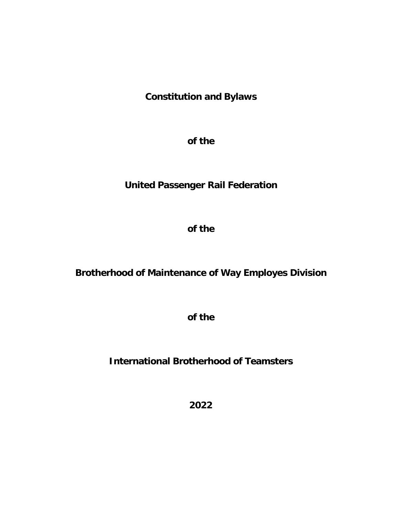# **Constitution and Bylaws**

**of the**

# **United Passenger Rail Federation**

**of the** 

## **Brotherhood of Maintenance of Way Employes Division**

**of the** 

**International Brotherhood of Teamsters**

**2022**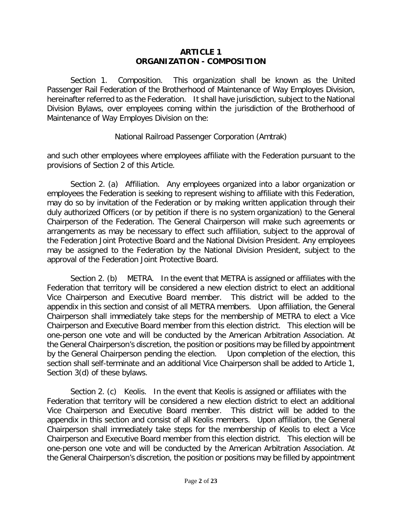## **ARTICLE 1 ORGANIZATION - COMPOSITION**

Section 1. Composition. This organization shall be known as the United Passenger Rail Federation of the Brotherhood of Maintenance of Way Employes Division, hereinafter referred to as the Federation. It shall have jurisdiction, subject to the National Division Bylaws, over employees coming within the jurisdiction of the Brotherhood of Maintenance of Way Employes Division on the:

## National Railroad Passenger Corporation (Amtrak)

and such other employees where employees affiliate with the Federation pursuant to the provisions of Section 2 of this Article.

Section 2. (a) Affiliation. Any employees organized into a labor organization or employees the Federation is seeking to represent wishing to affiliate with this Federation, may do so by invitation of the Federation or by making written application through their duly authorized Officers (or by petition if there is no system organization) to the General Chairperson of the Federation. The General Chairperson will make such agreements or arrangements as may be necessary to effect such affiliation, subject to the approval of the Federation Joint Protective Board and the National Division President. Any employees may be assigned to the Federation by the National Division President, subject to the approval of the Federation Joint Protective Board.

Section 2. (b) METRA. In the event that METRA is assigned or affiliates with the Federation that territory will be considered a new election district to elect an additional Vice Chairperson and Executive Board member. This district will be added to the appendix in this section and consist of all METRA members. Upon affiliation, the General Chairperson shall immediately take steps for the membership of METRA to elect a Vice Chairperson and Executive Board member from this election district. This election will be one-person one vote and will be conducted by the American Arbitration Association. At the General Chairperson's discretion, the position or positions may be filled by appointment by the General Chairperson pending the election. Upon completion of the election, this section shall self-terminate and an additional Vice Chairperson shall be added to Article 1, Section 3(d) of these bylaws.

Section 2. (c) Keolis. In the event that Keolis is assigned or affiliates with the Federation that territory will be considered a new election district to elect an additional Vice Chairperson and Executive Board member. This district will be added to the appendix in this section and consist of all Keolis members. Upon affiliation, the General Chairperson shall immediately take steps for the membership of Keolis to elect a Vice Chairperson and Executive Board member from this election district. This election will be one-person one vote and will be conducted by the American Arbitration Association. At the General Chairperson's discretion, the position or positions may be filled by appointment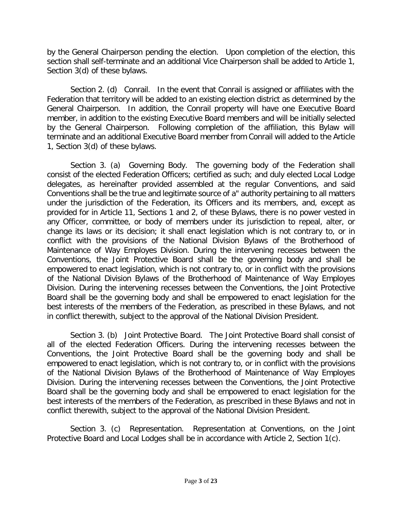by the General Chairperson pending the election. Upon completion of the election, this section shall self-terminate and an additional Vice Chairperson shall be added to Article 1, Section 3(d) of these bylaws.

Section 2. (d) Conrail. In the event that Conrail is assigned or affiliates with the Federation that territory will be added to an existing election district as determined by the General Chairperson. In addition, the Conrail property will have one Executive Board member, in addition to the existing Executive Board members and will be initially selected by the General Chairperson. Following completion of the affiliation, this Bylaw will terminate and an additional Executive Board member from Conrail will added to the Article 1, Section 3(d) of these bylaws.

Section 3. (a) Governing Body. The governing body of the Federation shall consist of the elected Federation Officers; certified as such; and duly elected Local Lodge delegates, as hereinafter provided assembled at the regular Conventions, and said Conventions shall be the true and legitimate source of a" authority pertaining to all matters under the jurisdiction of the Federation, its Officers and its members, and, except as provided for in Article 11, Sections 1 and 2, of these Bylaws, there is no power vested in any Officer, committee, or body of members under its jurisdiction to repeal, alter, or change its laws or its decision; it shall enact legislation which is not contrary to, or in conflict with the provisions of the National Division Bylaws of the Brotherhood of Maintenance of Way Employes Division. During the intervening recesses between the Conventions, the Joint Protective Board shall be the governing body and shall be empowered to enact legislation, which is not contrary to, or in conflict with the provisions of the National Division Bylaws of the Brotherhood of Maintenance of Way Employes Division. During the intervening recesses between the Conventions, the Joint Protective Board shall be the governing body and shall be empowered to enact legislation for the best interests of the members of the Federation, as prescribed in these Bylaws, and not in conflict therewith, subject to the approval of the National Division President.

Section 3. (b) Joint Protective Board. The Joint Protective Board shall consist of all of the elected Federation Officers. During the intervening recesses between the Conventions, the Joint Protective Board shall be the governing body and shall be empowered to enact legislation, which is not contrary to, or in conflict with the provisions of the National Division Bylaws of the Brotherhood of Maintenance of Way Employes Division. During the intervening recesses between the Conventions, the Joint Protective Board shall be the governing body and shall be empowered to enact legislation for the best interests of the members of the Federation, as prescribed in these Bylaws and not in conflict therewith, subject to the approval of the National Division President.

Section 3. (c) Representation. Representation at Conventions, on the Joint Protective Board and Local Lodges shall be in accordance with Article 2, Section 1(c).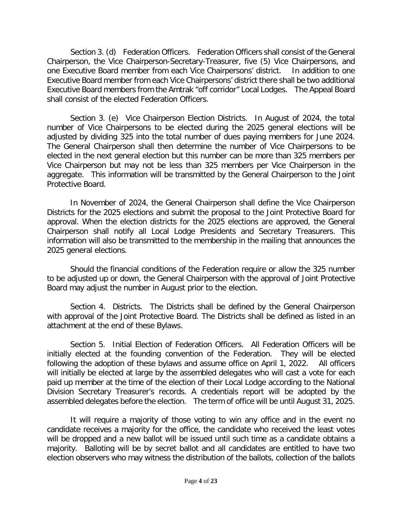Section 3. (d) Federation Officers. Federation Officers shall consist of the General Chairperson, the Vice Chairperson-Secretary-Treasurer, five (5) Vice Chairpersons, and one Executive Board member from each Vice Chairpersons' district. In addition to one Executive Board member from each Vice Chairpersons' district there shall be two additional Executive Board members from the Amtrak "off corridor" Local Lodges. The Appeal Board shall consist of the elected Federation Officers.

Section 3. (e) Vice Chairperson Election Districts. In August of 2024, the total number of Vice Chairpersons to be elected during the 2025 general elections will be adjusted by dividing 325 into the total number of dues paying members for June 2024. The General Chairperson shall then determine the number of Vice Chairpersons to be elected in the next general election but this number can be more than 325 members per Vice Chairperson but may not be less than 325 members per Vice Chairperson in the aggregate. This information will be transmitted by the General Chairperson to the Joint Protective Board.

In November of 2024, the General Chairperson shall define the Vice Chairperson Districts for the 2025 elections and submit the proposal to the Joint Protective Board for approval. When the election districts for the 2025 elections are approved, the General Chairperson shall notify all Local Lodge Presidents and Secretary Treasurers. This information will also be transmitted to the membership in the mailing that announces the 2025 general elections.

Should the financial conditions of the Federation require or allow the 325 number to be adjusted up or down, the General Chairperson with the approval of Joint Protective Board may adjust the number in August prior to the election.

Section 4. Districts. The Districts shall be defined by the General Chairperson with approval of the Joint Protective Board. The Districts shall be defined as listed in an attachment at the end of these Bylaws.

Section 5. Initial Election of Federation Officers. All Federation Officers will be initially elected at the founding convention of the Federation. They will be elected following the adoption of these bylaws and assume office on April 1, 2022. All officers will initially be elected at large by the assembled delegates who will cast a vote for each paid up member at the time of the election of their Local Lodge according to the National Division Secretary Treasurer's records. A credentials report will be adopted by the assembled delegates before the election. The term of office will be until August 31, 2025.

It will require a majority of those voting to win any office and in the event no candidate receives a majority for the office, the candidate who received the least votes will be dropped and a new ballot will be issued until such time as a candidate obtains a majority. Balloting will be by secret ballot and all candidates are entitled to have two election observers who may witness the distribution of the ballots, collection of the ballots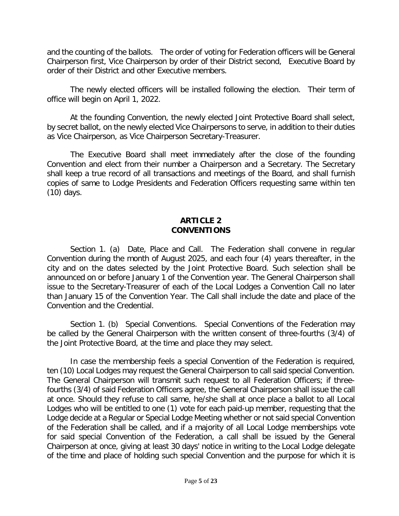and the counting of the ballots. The order of voting for Federation officers will be General Chairperson first, Vice Chairperson by order of their District second, Executive Board by order of their District and other Executive members.

The newly elected officers will be installed following the election. Their term of office will begin on April 1, 2022.

At the founding Convention, the newly elected Joint Protective Board shall select, by secret ballot, on the newly elected Vice Chairpersons to serve, in addition to their duties as Vice Chairperson, as Vice Chairperson Secretary-Treasurer.

The Executive Board shall meet immediately after the close of the founding Convention and elect from their number a Chairperson and a Secretary. The Secretary shall keep a true record of all transactions and meetings of the Board, and shall furnish copies of same to Lodge Presidents and Federation Officers requesting same within ten (10) days.

## **ARTICLE 2 CONVENTIONS**

Section 1. (a) Date, Place and Call. The Federation shall convene in regular Convention during the month of August 2025, and each four (4) years thereafter, in the city and on the dates selected by the Joint Protective Board. Such selection shall be announced on or before January 1 of the Convention year. The General Chairperson shall issue to the Secretary-Treasurer of each of the Local Lodges a Convention Call no later than January 15 of the Convention Year. The Call shall include the date and place of the Convention and the Credential.

Section 1. (b) Special Conventions. Special Conventions of the Federation may be called by the General Chairperson with the written consent of three-fourths (3/4) of the Joint Protective Board, at the time and place they may select.

In case the membership feels a special Convention of the Federation is required, ten (10) Local Lodges may request the General Chairperson to call said special Convention. The General Chairperson will transmit such request to all Federation Officers; if threefourths (3/4) of said Federation Officers agree, the General Chairperson shall issue the call at once. Should they refuse to call same, he/she shall at once place a ballot to all Local Lodges who will be entitled to one (1) vote for each paid-up member, requesting that the Lodge decide at a Regular or Special Lodge Meeting whether or not said special Convention of the Federation shall be called, and if a majority of all Local Lodge memberships vote for said special Convention of the Federation, a call shall be issued by the General Chairperson at once, giving at least 30 days' notice in writing to the Local Lodge delegate of the time and place of holding such special Convention and the purpose for which it is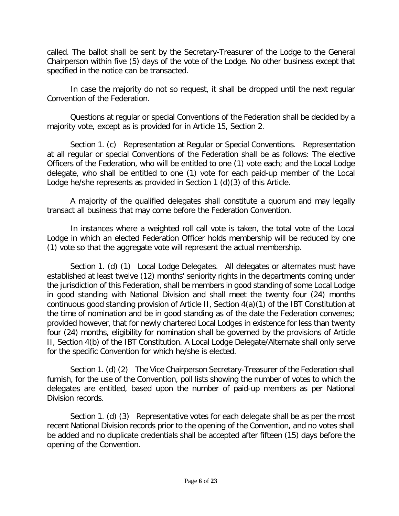called. The ballot shall be sent by the Secretary-Treasurer of the Lodge to the General Chairperson within five (5) days of the vote of the Lodge. No other business except that specified in the notice can be transacted.

In case the majority do not so request, it shall be dropped until the next regular Convention of the Federation.

Questions at regular or special Conventions of the Federation shall be decided by a majority vote, except as is provided for in Article 15, Section 2.

Section 1. (c) Representation at Regular or Special Conventions. Representation at all regular or special Conventions of the Federation shall be as follows: The elective Officers of the Federation, who will be entitled to one (1) vote each; and the Local Lodge delegate, who shall be entitled to one (1) vote for each paid-up member of the Local Lodge he/she represents as provided in Section 1 (d)(3) of this Article.

A majority of the qualified delegates shall constitute a quorum and may legally transact all business that may come before the Federation Convention.

In instances where a weighted roll call vote is taken, the total vote of the Local Lodge in which an elected Federation Officer holds membership will be reduced by one (1) vote so that the aggregate vote will represent the actual membership.

Section 1. (d) (1) Local Lodge Delegates. All delegates or alternates must have established at least twelve (12) months' seniority rights in the departments coming under the jurisdiction of this Federation, shall be members in good standing of some Local Lodge in good standing with National Division and shall meet the twenty four (24) months continuous good standing provision of Article II, Section 4(a)(1) of the IBT Constitution at the time of nomination and be in good standing as of the date the Federation convenes; provided however, that for newly chartered Local Lodges in existence for less than twenty four (24) months, eligibility for nomination shall be governed by the provisions of Article II, Section 4(b) of the IBT Constitution. A Local Lodge Delegate/Alternate shall only serve for the specific Convention for which he/she is elected.

Section 1. (d) (2) The Vice Chairperson Secretary-Treasurer of the Federation shall furnish, for the use of the Convention, poll lists showing the number of votes to which the delegates are entitled, based upon the number of paid-up members as per National Division records.

Section 1. (d) (3) Representative votes for each delegate shall be as per the most recent National Division records prior to the opening of the Convention, and no votes shall be added and no duplicate credentials shall be accepted after fifteen (15) days before the opening of the Convention.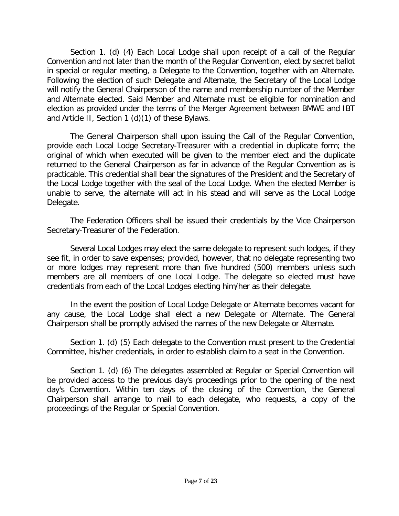Section 1. (d) (4) Each Local Lodge shall upon receipt of a call of the Regular Convention and not later than the month of the Regular Convention, elect by secret ballot in special or regular meeting, a Delegate to the Convention, together with an Alternate. Following the election of such Delegate and Alternate, the Secretary of the Local Lodge will notify the General Chairperson of the name and membership number of the Member and Alternate elected. Said Member and Alternate must be eligible for nomination and election as provided under the terms of the Merger Agreement between BMWE and IBT and Article II, Section 1 (d)(1) of these Bylaws.

The General Chairperson shall upon issuing the Call of the Regular Convention, provide each Local Lodge Secretary-Treasurer with a credential in duplicate form; the original of which when executed will be given to the member elect and the duplicate returned to the General Chairperson as far in advance of the Regular Convention as is practicable. This credential shall bear the signatures of the President and the Secretary of the Local Lodge together with the seal of the Local Lodge. When the elected Member is unable to serve, the alternate will act in his stead and will serve as the Local Lodge Delegate.

The Federation Officers shall be issued their credentials by the Vice Chairperson Secretary-Treasurer of the Federation.

Several Local Lodges may elect the same delegate to represent such lodges, if they see fit, in order to save expenses; provided, however, that no delegate representing two or more lodges may represent more than five hundred (500) members unless such members are all members of one Local Lodge. The delegate so elected must have credentials from each of the Local Lodges electing him/her as their delegate.

In the event the position of Local Lodge Delegate or Alternate becomes vacant for any cause, the Local Lodge shall elect a new Delegate or Alternate. The General Chairperson shall be promptly advised the names of the new Delegate or Alternate.

Section 1. (d) (5) Each delegate to the Convention must present to the Credential Committee, his/her credentials, in order to establish claim to a seat in the Convention.

Section 1. (d) (6) The delegates assembled at Regular or Special Convention will be provided access to the previous day's proceedings prior to the opening of the next day's Convention. Within ten days of the closing of the Convention, the General Chairperson shall arrange to mail to each delegate, who requests, a copy of the proceedings of the Regular or Special Convention.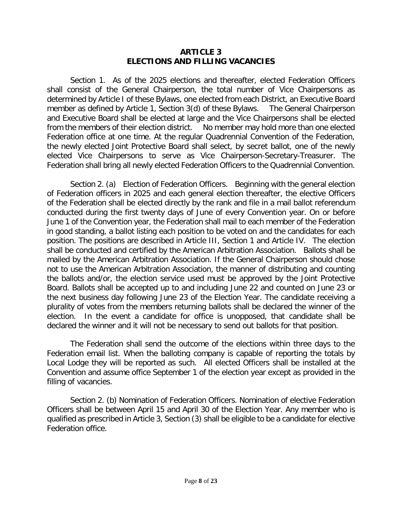## **ARTICLE 3 ELECTIONS AND FILLING VACANCIES**

Section 1. As of the 2025 elections and thereafter, elected Federation Officers shall consist of the General Chairperson, the total number of Vice Chairpersons as determined by Article I of these Bylaws, one elected from each District, an Executive Board member as defined by Article 1, Section 3(d) of these Bylaws. The General Chairperson and Executive Board shall be elected at large and the Vice Chairpersons shall be elected from the members of their election district. No member may hold more than one elected Federation office at one time. At the regular Quadrennial Convention of the Federation, the newly elected Joint Protective Board shall select, by secret ballot, one of the newly elected Vice Chairpersons to serve as Vice Chairperson-Secretary-Treasurer. The Federation shall bring all newly elected Federation Officers to the Quadrennial Convention.

Section 2. (a) Election of Federation Officers. Beginning with the general election of Federation officers in 2025 and each general election thereafter, the elective Officers of the Federation shall be elected directly by the rank and file in a mail ballot referendum conducted during the first twenty days of June of every Convention year. On or before June 1 of the Convention year, the Federation shall mail to each member of the Federation in good standing, a ballot listing each position to be voted on and the candidates for each position. The positions are described in Article III, Section 1 and Article IV. The election shall be conducted and certified by the American Arbitration Association. Ballots shall be mailed by the American Arbitration Association. If the General Chairperson should chose not to use the American Arbitration Association, the manner of distributing and counting the ballots and/or, the election service used must be approved by the Joint Protective Board. Ballots shall be accepted up to and including June 22 and counted on June 23 or the next business day following June 23 of the Election Year. The candidate receiving a plurality of votes from the members returning ballots shall be declared the winner of the election. In the event a candidate for office is unopposed, that candidate shall be declared the winner and it will not be necessary to send out ballots for that position.

The Federation shall send the outcome of the elections within three days to the Federation email list. When the balloting company is capable of reporting the totals by Local Lodge they will be reported as such. All elected Officers shall be installed at the Convention and assume office September 1 of the election year except as provided in the filling of vacancies.

Section 2. (b) Nomination of Federation Officers. Nomination of elective Federation Officers shall be between April 15 and April 30 of the Election Year. Any member who is qualified as prescribed in Article 3, Section (3) shall be eligible to be a candidate for elective Federation office.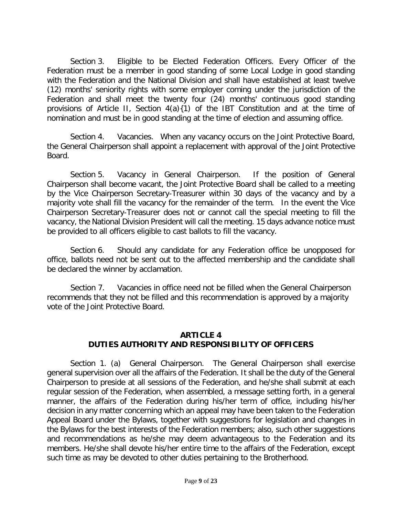Section 3. Eligible to be Elected Federation Officers. Every Officer of the Federation must be a member in good standing of some Local Lodge in good standing with the Federation and the National Division and shall have established at least twelve (12) months' seniority rights with some employer coming under the jurisdiction of the Federation and shall meet the twenty four (24) months' continuous good standing provisions of Article II, Section 4(a){1) of the IBT Constitution and at the time of nomination and must be in good standing at the time of election and assuming office.

Section 4. Vacancies. When any vacancy occurs on the Joint Protective Board, the General Chairperson shall appoint a replacement with approval of the Joint Protective Board.

Section 5. Vacancy in General Chairperson. If the position of General Chairperson shall become vacant, the Joint Protective Board shall be called to a meeting by the Vice Chairperson Secretary-Treasurer within 30 days of the vacancy and by a majority vote shall fill the vacancy for the remainder of the term. In the event the Vice Chairperson Secretary-Treasurer does not or cannot call the special meeting to fill the vacancy, the National Division President will call the meeting. 15 days advance notice must be provided to all officers eligible to cast ballots to fill the vacancy.

Section 6. Should any candidate for any Federation office be unopposed for office, ballots need not be sent out to the affected membership and the candidate shall be declared the winner by acclamation.

Section 7. Vacancies in office need not be filled when the General Chairperson recommends that they not be filled and this recommendation is approved by a majority vote of the Joint Protective Board.

## **ARTICLE 4 DUTIES AUTHORITY AND RESPONSIBILITY OF OFFICERS**

Section 1. (a) General Chairperson. The General Chairperson shall exercise general supervision over all the affairs of the Federation. It shall be the duty of the General Chairperson to preside at all sessions of the Federation, and he/she shall submit at each regular session of the Federation, when assembled, a message setting forth, in a general manner, the affairs of the Federation during his/her term of office, including his/her decision in any matter concerning which an appeal may have been taken to the Federation Appeal Board under the Bylaws, together with suggestions for legislation and changes in the Bylaws for the best interests of the Federation members; also, such other suggestions and recommendations as he/she may deem advantageous to the Federation and its members. He/she shall devote his/her entire time to the affairs of the Federation, except such time as may be devoted to other duties pertaining to the Brotherhood.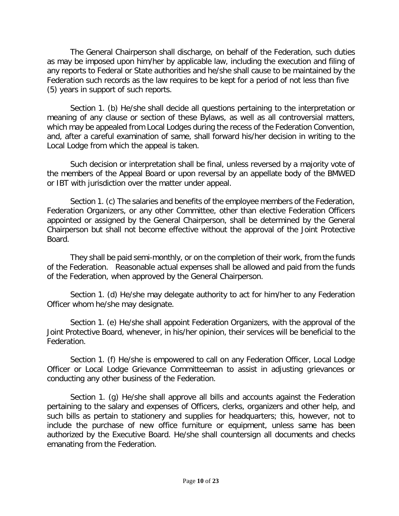The General Chairperson shall discharge, on behalf of the Federation, such duties as may be imposed upon him/her by applicable law, including the execution and filing of any reports to Federal or State authorities and he/she shall cause to be maintained by the Federation such records as the law requires to be kept for a period of not less than five (5) years in support of such reports.

Section 1. (b) He/she shall decide all questions pertaining to the interpretation or meaning of any clause or section of these Bylaws, as well as all controversial matters, which may be appealed from Local Lodges during the recess of the Federation Convention, and, after a careful examination of same, shall forward his/her decision in writing to the Local Lodge from which the appeal is taken.

Such decision or interpretation shall be final, unless reversed by a majority vote of the members of the Appeal Board or upon reversal by an appellate body of the BMWED or IBT with jurisdiction over the matter under appeal.

Section 1. (c) The salaries and benefits of the employee members of the Federation, Federation Organizers, or any other Committee, other than elective Federation Officers appointed or assigned by the General Chairperson, shall be determined by the General Chairperson but shall not become effective without the approval of the Joint Protective Board.

They shall be paid semi-monthly, or on the completion of their work, from the funds of the Federation. Reasonable actual expenses shall be allowed and paid from the funds of the Federation, when approved by the General Chairperson.

Section 1. (d) He/she may delegate authority to act for him/her to any Federation Officer whom he/she may designate.

Section 1. (e) He/she shall appoint Federation Organizers, with the approval of the Joint Protective Board, whenever, in his/her opinion, their services will be beneficial to the Federation.

Section 1. (f) He/she is empowered to call on any Federation Officer, Local Lodge Officer or Local Lodge Grievance Committeeman to assist in adjusting grievances or conducting any other business of the Federation.

Section 1. (g) He/she shall approve all bills and accounts against the Federation pertaining to the salary and expenses of Officers, clerks, organizers and other help, and such bills as pertain to stationery and supplies for headquarters; this, however, not to include the purchase of new office furniture or equipment, unless same has been authorized by the Executive Board. He/she shall countersign all documents and checks emanating from the Federation.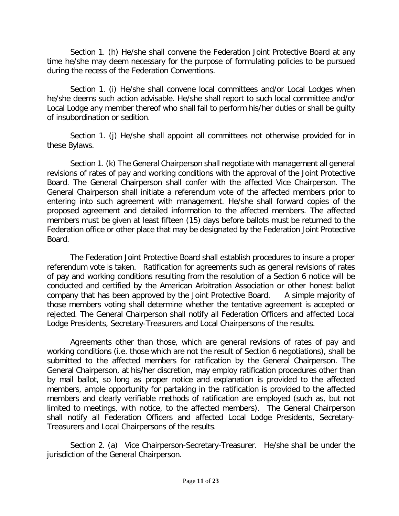Section 1. (h) He/she shall convene the Federation Joint Protective Board at any time he/she may deem necessary for the purpose of formulating policies to be pursued during the recess of the Federation Conventions.

Section 1. (i) He/she shall convene local committees and/or Local Lodges when he/she deems such action advisable. He/she shall report to such local committee and/or Local Lodge any member thereof who shall fail to perform his/her duties or shall be guilty of insubordination or sedition.

Section 1. (j) He/she shall appoint all committees not otherwise provided for in these Bylaws.

Section 1. (k) The General Chairperson shall negotiate with management all general revisions of rates of pay and working conditions with the approval of the Joint Protective Board. The General Chairperson shall confer with the affected Vice Chairperson. The General Chairperson shall initiate a referendum vote of the affected members prior to entering into such agreement with management. He/she shall forward copies of the proposed agreement and detailed information to the affected members. The affected members must be given at least fifteen (15) days before ballots must be returned to the Federation office or other place that may be designated by the Federation Joint Protective Board.

The Federation Joint Protective Board shall establish procedures to insure a proper referendum vote is taken. Ratification for agreements such as general revisions of rates of pay and working conditions resulting from the resolution of a Section 6 notice will be conducted and certified by the American Arbitration Association or other honest ballot company that has been approved by the Joint Protective Board. A simple majority of those members voting shall determine whether the tentative agreement is accepted or rejected. The General Chairperson shall notify all Federation Officers and affected Local Lodge Presidents, Secretary-Treasurers and Local Chairpersons of the results.

Agreements other than those, which are general revisions of rates of pay and working conditions (i.e. those which are not the result of Section 6 negotiations), shall be submitted to the affected members for ratification by the General Chairperson. The General Chairperson, at his/her discretion, may employ ratification procedures other than by mail ballot, so long as proper notice and explanation is provided to the affected members, ample opportunity for partaking in the ratification is provided to the affected members and clearly verifiable methods of ratification are employed (such as, but not limited to meetings, with notice, to the affected members). The General Chairperson shall notify all Federation Officers and affected Local Lodge Presidents, Secretary-Treasurers and Local Chairpersons of the results.

Section 2. (a) Vice Chairperson-Secretary-Treasurer. He/she shall be under the jurisdiction of the General Chairperson.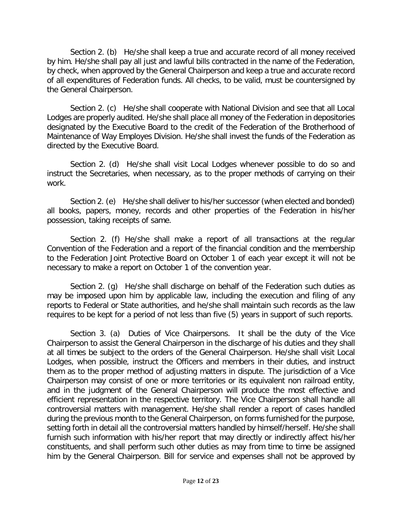Section 2. (b) He/she shall keep a true and accurate record of all money received by him. He/she shall pay all just and lawful bills contracted in the name of the Federation, by check, when approved by the General Chairperson and keep a true and accurate record of all expenditures of Federation funds. All checks, to be valid, must be countersigned by the General Chairperson.

Section 2. (c) He/she shall cooperate with National Division and see that all Local Lodges are properly audited. He/she shall place all money of the Federation in depositories designated by the Executive Board to the credit of the Federation of the Brotherhood of Maintenance of Way Employes Division. He/she shall invest the funds of the Federation as directed by the Executive Board.

Section 2. (d) He/she shall visit Local Lodges whenever possible to do so and instruct the Secretaries, when necessary, as to the proper methods of carrying on their work.

Section 2. (e) He/she shall deliver to his/her successor (when elected and bonded) all books, papers, money, records and other properties of the Federation in his/her possession, taking receipts of same.

Section 2. (f) He/she shall make a report of all transactions at the regular Convention of the Federation and a report of the financial condition and the membership to the Federation Joint Protective Board on October 1 of each year except it will not be necessary to make a report on October 1 of the convention year.

Section 2. (g) He/she shall discharge on behalf of the Federation such duties as may be imposed upon him by applicable law, including the execution and filing of any reports to Federal or State authorities, and he/she shall maintain such records as the law requires to be kept for a period of not less than five (5) years in support of such reports.

Section 3. (a) Duties of Vice Chairpersons. It shall be the duty of the Vice Chairperson to assist the General Chairperson in the discharge of his duties and they shall at all times be subject to the orders of the General Chairperson. He/she shall visit Local Lodges, when possible, instruct the Officers and members in their duties, and instruct them as to the proper method of adjusting matters in dispute. The jurisdiction of a Vice Chairperson may consist of one or more territories or its equivalent non railroad entity, and in the judgment of the General Chairperson will produce the most effective and efficient representation in the respective territory. The Vice Chairperson shall handle all controversial matters with management. He/she shall render a report of cases handled during the previous month to the General Chairperson, on forms furnished for the purpose, setting forth in detail all the controversial matters handled by himself/herself. He/she shall furnish such information with his/her report that may directly or indirectly affect his/her constituents, and shall perform such other duties as may from time to time be assigned him by the General Chairperson. Bill for service and expenses shall not be approved by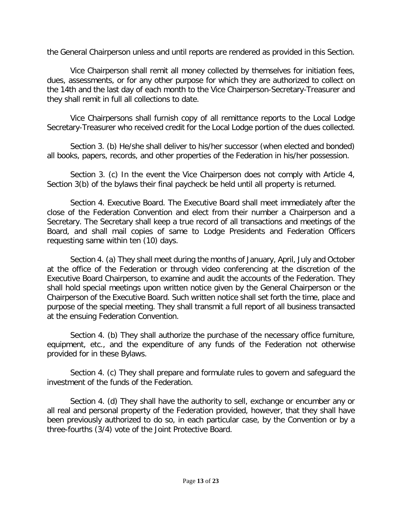the General Chairperson unless and until reports are rendered as provided in this Section.

Vice Chairperson shall remit all money collected by themselves for initiation fees, dues, assessments, or for any other purpose for which they are authorized to collect on the 14th and the last day of each month to the Vice Chairperson-Secretary-Treasurer and they shall remit in full all collections to date.

Vice Chairpersons shall furnish copy of all remittance reports to the Local Lodge Secretary-Treasurer who received credit for the Local Lodge portion of the dues collected.

Section 3. (b) He/she shall deliver to his/her successor (when elected and bonded) all books, papers, records, and other properties of the Federation in his/her possession.

Section 3. (c) In the event the Vice Chairperson does not comply with Article 4, Section 3(b) of the bylaws their final paycheck be held until all property is returned.

Section 4. Executive Board. The Executive Board shall meet immediately after the close of the Federation Convention and elect from their number a Chairperson and a Secretary. The Secretary shall keep a true record of all transactions and meetings of the Board, and shall mail copies of same to Lodge Presidents and Federation Officers requesting same within ten (10) days.

Section 4. (a) They shall meet during the months of January, April, July and October at the office of the Federation or through video conferencing at the discretion of the Executive Board Chairperson, to examine and audit the accounts of the Federation. They shall hold special meetings upon written notice given by the General Chairperson or the Chairperson of the Executive Board. Such written notice shall set forth the time, place and purpose of the special meeting. They shall transmit a full report of all business transacted at the ensuing Federation Convention.

Section 4. (b) They shall authorize the purchase of the necessary office furniture, equipment, etc., and the expenditure of any funds of the Federation not otherwise provided for in these Bylaws.

Section 4. (c) They shall prepare and formulate rules to govern and safeguard the investment of the funds of the Federation.

Section 4. (d) They shall have the authority to sell, exchange or encumber any or all real and personal property of the Federation provided, however, that they shall have been previously authorized to do so, in each particular case, by the Convention or by a three-fourths (3/4) vote of the Joint Protective Board.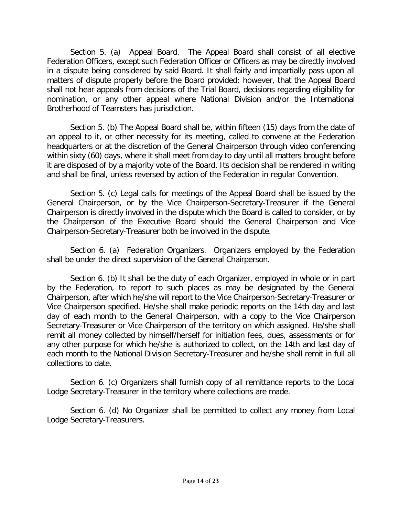Section 5. (a) Appeal Board. The Appeal Board shall consist of all elective Federation Officers, except such Federation Officer or Officers as may be directly involved in a dispute being considered by said Board. It shall fairly and impartially pass upon all matters of dispute properly before the Board provided; however, that the Appeal Board shall not hear appeals from decisions of the Trial Board, decisions regarding eligibility for nomination, or any other appeal where National Division and/or the International Brotherhood of Teamsters has jurisdiction.

Section 5. (b) The Appeal Board shall be, within fifteen (15) days from the date of an appeal to it, or other necessity for its meeting, called to convene at the Federation headquarters or at the discretion of the General Chairperson through video conferencing within sixty (60) days, where it shall meet from day to day until all matters brought before it are disposed of by a majority vote of the Board. Its decision shall be rendered in writing and shall be final, unless reversed by action of the Federation in regular Convention.

Section 5. (c) Legal calls for meetings of the Appeal Board shall be issued by the General Chairperson, or by the Vice Chairperson-Secretary-Treasurer if the General Chairperson is directly involved in the dispute which the Board is called to consider, or by the Chairperson of the Executive Board should the General Chairperson and Vice Chairperson-Secretary-Treasurer both be involved in the dispute.

Section 6. (a) Federation Organizers. Organizers employed by the Federation shall be under the direct supervision of the General Chairperson.

Section 6. (b) It shall be the duty of each Organizer, employed in whole or in part by the Federation, to report to such places as may be designated by the General Chairperson, after which he/she will report to the Vice Chairperson-Secretary-Treasurer or Vice Chairperson specified. He/she shall make periodic reports on the 14th day and last day of each month to the General Chairperson, with a copy to the Vice Chairperson Secretary-Treasurer or Vice Chairperson of the territory on which assigned. He/she shall remit all money collected by himself/herself for initiation fees, dues, assessments or for any other purpose for which he/she is authorized to collect, on the 14th and last day of each month to the National Division Secretary-Treasurer and he/she shall remit in full all collections to date.

Section 6. (c) Organizers shall furnish copy of all remittance reports to the Local Lodge Secretary-Treasurer in the territory where collections are made.

Section 6. (d) No Organizer shall be permitted to collect any money from Local Lodge Secretary-Treasurers.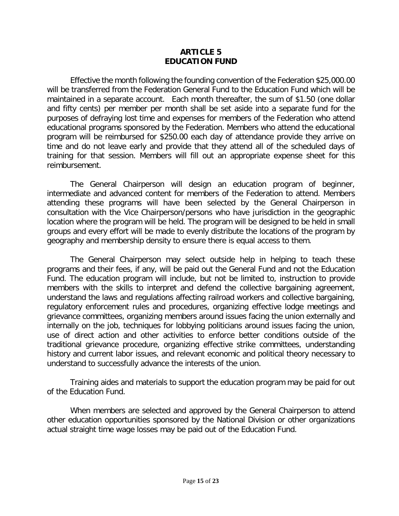## **ARTICLE 5 EDUCATION FUND**

Effective the month following the founding convention of the Federation \$25,000.00 will be transferred from the Federation General Fund to the Education Fund which will be maintained in a separate account. Each month thereafter, the sum of \$1.50 (one dollar and fifty cents) per member per month shall be set aside into a separate fund for the purposes of defraying lost time and expenses for members of the Federation who attend educational programs sponsored by the Federation. Members who attend the educational program will be reimbursed for \$250.00 each day of attendance provide they arrive on time and do not leave early and provide that they attend all of the scheduled days of training for that session. Members will fill out an appropriate expense sheet for this reimbursement.

The General Chairperson will design an education program of beginner, intermediate and advanced content for members of the Federation to attend. Members attending these programs will have been selected by the General Chairperson in consultation with the Vice Chairperson/persons who have jurisdiction in the geographic location where the program will be held. The program will be designed to be held in small groups and every effort will be made to evenly distribute the locations of the program by geography and membership density to ensure there is equal access to them.

The General Chairperson may select outside help in helping to teach these programs and their fees, if any, will be paid out the General Fund and not the Education Fund. The education program will include, but not be limited to, instruction to provide members with the skills to interpret and defend the collective bargaining agreement, understand the laws and regulations affecting railroad workers and collective bargaining, regulatory enforcement rules and procedures, organizing effective lodge meetings and grievance committees, organizing members around issues facing the union externally and internally on the job, techniques for lobbying politicians around issues facing the union, use of direct action and other activities to enforce better conditions outside of the traditional grievance procedure, organizing effective strike committees, understanding history and current labor issues, and relevant economic and political theory necessary to understand to successfully advance the interests of the union.

Training aides and materials to support the education program may be paid for out of the Education Fund.

When members are selected and approved by the General Chairperson to attend other education opportunities sponsored by the National Division or other organizations actual straight time wage losses may be paid out of the Education Fund.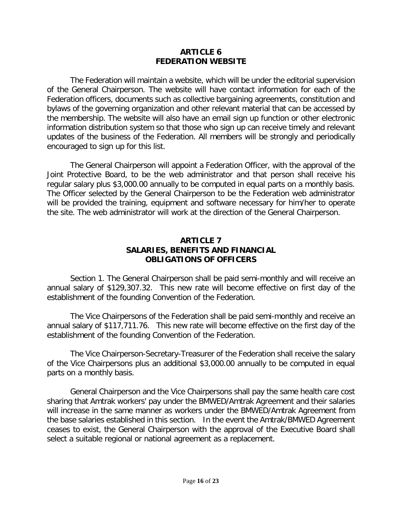## **ARTICLE 6 FEDERATION WEBSITE**

The Federation will maintain a website, which will be under the editorial supervision of the General Chairperson. The website will have contact information for each of the Federation officers, documents such as collective bargaining agreements, constitution and bylaws of the governing organization and other relevant material that can be accessed by the membership. The website will also have an email sign up function or other electronic information distribution system so that those who sign up can receive timely and relevant updates of the business of the Federation. All members will be strongly and periodically encouraged to sign up for this list.

The General Chairperson will appoint a Federation Officer, with the approval of the Joint Protective Board, to be the web administrator and that person shall receive his regular salary plus \$3,000.00 annually to be computed in equal parts on a monthly basis. The Officer selected by the General Chairperson to be the Federation web administrator will be provided the training, equipment and software necessary for him/her to operate the site. The web administrator will work at the direction of the General Chairperson.

## **ARTICLE 7 SALARIES, BENEFITS AND FINANCIAL OBLIGATIONS OF OFFICERS**

Section 1. The General Chairperson shall be paid semi-monthly and will receive an annual salary of \$129,307.32. This new rate will become effective on first day of the establishment of the founding Convention of the Federation.

The Vice Chairpersons of the Federation shall be paid semi-monthly and receive an annual salary of \$117,711.76. This new rate will become effective on the first day of the establishment of the founding Convention of the Federation.

The Vice Chairperson-Secretary-Treasurer of the Federation shall receive the salary of the Vice Chairpersons plus an additional \$3,000.00 annually to be computed in equal parts on a monthly basis.

General Chairperson and the Vice Chairpersons shall pay the same health care cost sharing that Amtrak workers' pay under the BMWED/Amtrak Agreement and their salaries will increase in the same manner as workers under the BMWED/Amtrak Agreement from the base salaries established in this section. In the event the Amtrak/BMWED Agreement ceases to exist, the General Chairperson with the approval of the Executive Board shall select a suitable regional or national agreement as a replacement.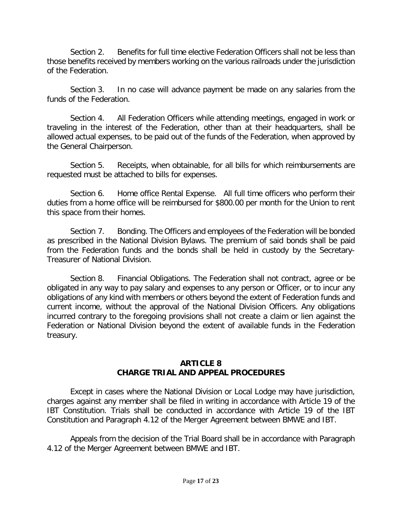Section 2. Benefits for full time elective Federation Officers shall not be less than those benefits received by members working on the various railroads under the jurisdiction of the Federation.

Section 3. In no case will advance payment be made on any salaries from the funds of the Federation.

Section 4. All Federation Officers while attending meetings, engaged in work or traveling in the interest of the Federation, other than at their headquarters, shall be allowed actual expenses, to be paid out of the funds of the Federation, when approved by the General Chairperson.

Section 5. Receipts, when obtainable, for all bills for which reimbursements are requested must be attached to bills for expenses.

Section 6. Home office Rental Expense. All full time officers who perform their duties from a home office will be reimbursed for \$800.00 per month for the Union to rent this space from their homes.

Section 7. Bonding. The Officers and employees of the Federation will be bonded as prescribed in the National Division Bylaws. The premium of said bonds shall be paid from the Federation funds and the bonds shall be held in custody by the Secretary-Treasurer of National Division.

Section 8. Financial Obligations. The Federation shall not contract, agree or be obligated in any way to pay salary and expenses to any person or Officer, or to incur any obligations of any kind with members or others beyond the extent of Federation funds and current income, without the approval of the National Division Officers. Any obligations incurred contrary to the foregoing provisions shall not create a claim or lien against the Federation or National Division beyond the extent of available funds in the Federation treasury.

## **ARTICLE 8 CHARGE TRIAL AND APPEAL PROCEDURES**

Except in cases where the National Division or Local Lodge may have jurisdiction, charges against any member shall be filed in writing in accordance with Article 19 of the IBT Constitution. Trials shall be conducted in accordance with Article 19 of the IBT Constitution and Paragraph 4.12 of the Merger Agreement between BMWE and IBT.

Appeals from the decision of the Trial Board shall be in accordance with Paragraph 4.12 of the Merger Agreement between BMWE and IBT.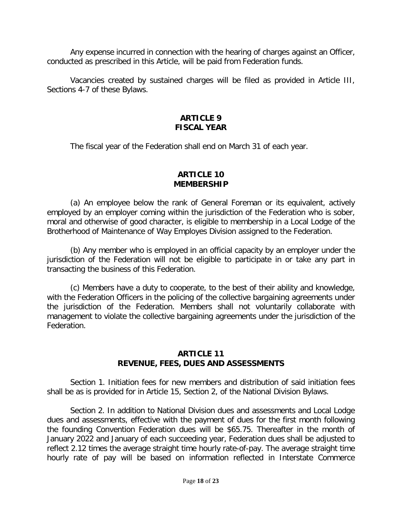Any expense incurred in connection with the hearing of charges against an Officer, conducted as prescribed in this Article, will be paid from Federation funds.

Vacancies created by sustained charges will be filed as provided in Article III, Sections 4-7 of these Bylaws.

## **ARTICLE 9 FISCAL YEAR**

The fiscal year of the Federation shall end on March 31 of each year.

## **ARTICLE 10 MEMBERSHIP**

(a) An employee below the rank of General Foreman or its equivalent, actively employed by an employer coming within the jurisdiction of the Federation who is sober, moral and otherwise of good character, is eligible to membership in a Local Lodge of the Brotherhood of Maintenance of Way Employes Division assigned to the Federation.

(b) Any member who is employed in an official capacity by an employer under the jurisdiction of the Federation will not be eligible to participate in or take any part in transacting the business of this Federation.

(c) Members have a duty to cooperate, to the best of their ability and knowledge, with the Federation Officers in the policing of the collective bargaining agreements under the jurisdiction of the Federation. Members shall not voluntarily collaborate with management to violate the collective bargaining agreements under the jurisdiction of the Federation.

## **ARTICLE 11 REVENUE, FEES, DUES AND ASSESSMENTS**

Section 1. Initiation fees for new members and distribution of said initiation fees shall be as is provided for in Article 15, Section 2, of the National Division Bylaws.

Section 2. In addition to National Division dues and assessments and Local Lodge dues and assessments, effective with the payment of dues for the first month following the founding Convention Federation dues will be \$65.75. Thereafter in the month of January 2022 and January of each succeeding year, Federation dues shall be adjusted to reflect 2.12 times the average straight time hourly rate-of-pay. The average straight time hourly rate of pay will be based on information reflected in Interstate Commerce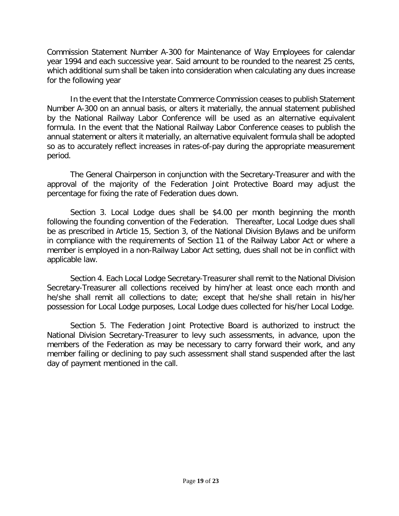Commission Statement Number A-300 for Maintenance of Way Employees for calendar year 1994 and each successive year. Said amount to be rounded to the nearest 25 cents, which additional sum shall be taken into consideration when calculating any dues increase for the following year

In the event that the Interstate Commerce Commission ceases to publish Statement Number A-300 on an annual basis, or alters it materially, the annual statement published by the National Railway Labor Conference will be used as an alternative equivalent formula. In the event that the National Railway Labor Conference ceases to publish the annual statement or alters it materially, an alternative equivalent formula shall be adopted so as to accurately reflect increases in rates-of-pay during the appropriate measurement period.

The General Chairperson in conjunction with the Secretary-Treasurer and with the approval of the majority of the Federation Joint Protective Board may adjust the percentage for fixing the rate of Federation dues down.

Section 3. Local Lodge dues shall be \$4.00 per month beginning the month following the founding convention of the Federation. Thereafter, Local Lodge dues shall be as prescribed in Article 15, Section 3, of the National Division Bylaws and be uniform in compliance with the requirements of Section 11 of the Railway Labor Act or where a member is employed in a non-Railway Labor Act setting, dues shall not be in conflict with applicable law.

Section 4. Each Local Lodge Secretary-Treasurer shall remit to the National Division Secretary-Treasurer all collections received by him/her at least once each month and he/she shall remit all collections to date; except that he/she shall retain in his/her possession for Local Lodge purposes, Local Lodge dues collected for his/her Local Lodge.

Section 5. The Federation Joint Protective Board is authorized to instruct the National Division Secretary-Treasurer to levy such assessments, in advance, upon the members of the Federation as may be necessary to carry forward their work, and any member failing or declining to pay such assessment shall stand suspended after the last day of payment mentioned in the call.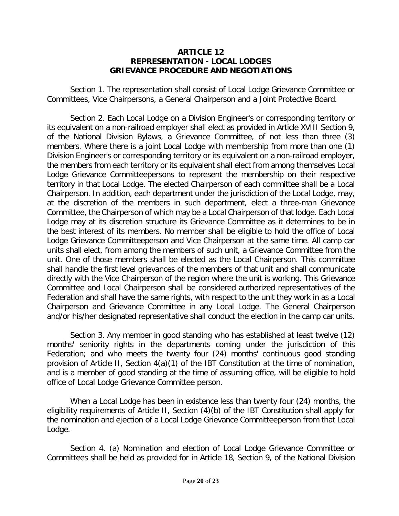## **ARTICLE 12 REPRESENTATION - LOCAL LODGES GRIEVANCE PROCEDURE AND NEGOTIATIONS**

Section 1. The representation shall consist of Local Lodge Grievance Committee or Committees, Vice Chairpersons, a General Chairperson and a Joint Protective Board.

Section 2. Each Local Lodge on a Division Engineer's or corresponding territory or its equivalent on a non-railroad employer shall elect as provided in Article XVIII Section 9, of the National Division Bylaws, a Grievance Committee, of not less than three (3) members. Where there is a joint Local Lodge with membership from more than one (1) Division Engineer's or corresponding territory or its equivalent on a non-railroad employer, the members from each territory or its equivalent shall elect from among themselves Local Lodge Grievance Committeepersons to represent the membership on their respective territory in that Local Lodge. The elected Chairperson of each committee shall be a Local Chairperson. In addition, each department under the jurisdiction of the Local Lodge, may, at the discretion of the members in such department, elect a three-man Grievance Committee, the Chairperson of which may be a Local Chairperson of that lodge. Each Local Lodge may at its discretion structure its Grievance Committee as it determines to be in the best interest of its members. No member shall be eligible to hold the office of Local Lodge Grievance Committeeperson and Vice Chairperson at the same time. All camp car units shall elect, from among the members of such unit, a Grievance Committee from the unit. One of those members shall be elected as the Local Chairperson. This committee shall handle the first level grievances of the members of that unit and shall communicate directly with the Vice Chairperson of the region where the unit is working. This Grievance Committee and Local Chairperson shall be considered authorized representatives of the Federation and shall have the same rights, with respect to the unit they work in as a Local Chairperson and Grievance Committee in any Local Lodge. The General Chairperson and/or his/her designated representative shall conduct the election in the camp car units.

Section 3. Any member in good standing who has established at least twelve (12) months' seniority rights in the departments coming under the jurisdiction of this Federation; and who meets the twenty four (24) months' continuous good standing provision of Article II, Section 4(a)(1) of the IBT Constitution at the time of nomination, and is a member of good standing at the time of assuming office, will be eligible to hold office of Local Lodge Grievance Committee person.

When a Local Lodge has been in existence less than twenty four (24) months, the eligibility requirements of Article II, Section (4)(b) of the IBT Constitution shall apply for the nomination and ejection of a Local Lodge Grievance Committeeperson from that Local Lodge.

Section 4. (a) Nomination and election of Local Lodge Grievance Committee or Committees shall be held as provided for in Article 18, Section 9, of the National Division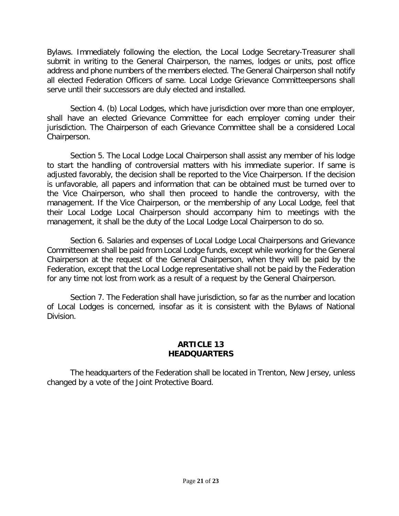Bylaws. Immediately following the election, the Local Lodge Secretary-Treasurer shall submit in writing to the General Chairperson, the names, lodges or units, post office address and phone numbers of the members elected. The General Chairperson shall notify all elected Federation Officers of same. Local Lodge Grievance Committeepersons shall serve until their successors are duly elected and installed.

Section 4. (b) Local Lodges, which have jurisdiction over more than one employer, shall have an elected Grievance Committee for each employer coming under their jurisdiction. The Chairperson of each Grievance Committee shall be a considered Local Chairperson.

Section 5. The Local Lodge Local Chairperson shall assist any member of his lodge to start the handling of controversial matters with his immediate superior. If same is adjusted favorably, the decision shall be reported to the Vice Chairperson. If the decision is unfavorable, all papers and information that can be obtained must be turned over to the Vice Chairperson, who shall then proceed to handle the controversy, with the management. If the Vice Chairperson, or the membership of any Local Lodge, feel that their Local Lodge Local Chairperson should accompany him to meetings with the management, it shall be the duty of the Local Lodge Local Chairperson to do so.

Section 6. Salaries and expenses of Local Lodge Local Chairpersons and Grievance Committeemen shall be paid from Local Lodge funds, except while working for the General Chairperson at the request of the General Chairperson, when they will be paid by the Federation, except that the Local Lodge representative shall not be paid by the Federation for any time not lost from work as a result of a request by the General Chairperson.

Section 7. The Federation shall have jurisdiction, so far as the number and location of Local Lodges is concerned, insofar as it is consistent with the Bylaws of National Division.

## **ARTICLE 13 HEADQUARTERS**

The headquarters of the Federation shall be located in Trenton, New Jersey, unless changed by a vote of the Joint Protective Board.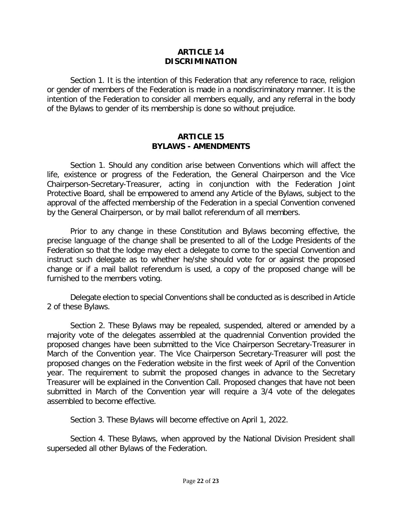## **ARTICLE 14 DISCRIMINATION**

Section 1. It is the intention of this Federation that any reference to race, religion or gender of members of the Federation is made in a nondiscriminatory manner. It is the intention of the Federation to consider all members equally, and any referral in the body of the Bylaws to gender of its membership is done so without prejudice.

## **ARTICLE 15 BYLAWS - AMENDMENTS**

Section 1. Should any condition arise between Conventions which will affect the life, existence or progress of the Federation, the General Chairperson and the Vice Chairperson-Secretary-Treasurer, acting in conjunction with the Federation Joint Protective Board, shall be empowered to amend any Article of the Bylaws, subject to the approval of the affected membership of the Federation in a special Convention convened by the General Chairperson, or by mail ballot referendum of all members.

Prior to any change in these Constitution and Bylaws becoming effective, the precise language of the change shall be presented to all of the Lodge Presidents of the Federation so that the lodge may elect a delegate to come to the special Convention and instruct such delegate as to whether he/she should vote for or against the proposed change or if a mail ballot referendum is used, a copy of the proposed change will be furnished to the members voting.

Delegate election to special Conventions shall be conducted as is described in Article 2 of these Bylaws.

Section 2. These Bylaws may be repealed, suspended, altered or amended by a majority vote of the delegates assembled at the quadrennial Convention provided the proposed changes have been submitted to the Vice Chairperson Secretary-Treasurer in March of the Convention year. The Vice Chairperson Secretary-Treasurer will post the proposed changes on the Federation website in the first week of April of the Convention year. The requirement to submit the proposed changes in advance to the Secretary Treasurer will be explained in the Convention Call. Proposed changes that have not been submitted in March of the Convention year will require a 3/4 vote of the delegates assembled to become effective.

Section 3. These Bylaws will become effective on April 1, 2022.

Section 4. These Bylaws, when approved by the National Division President shall superseded all other Bylaws of the Federation.